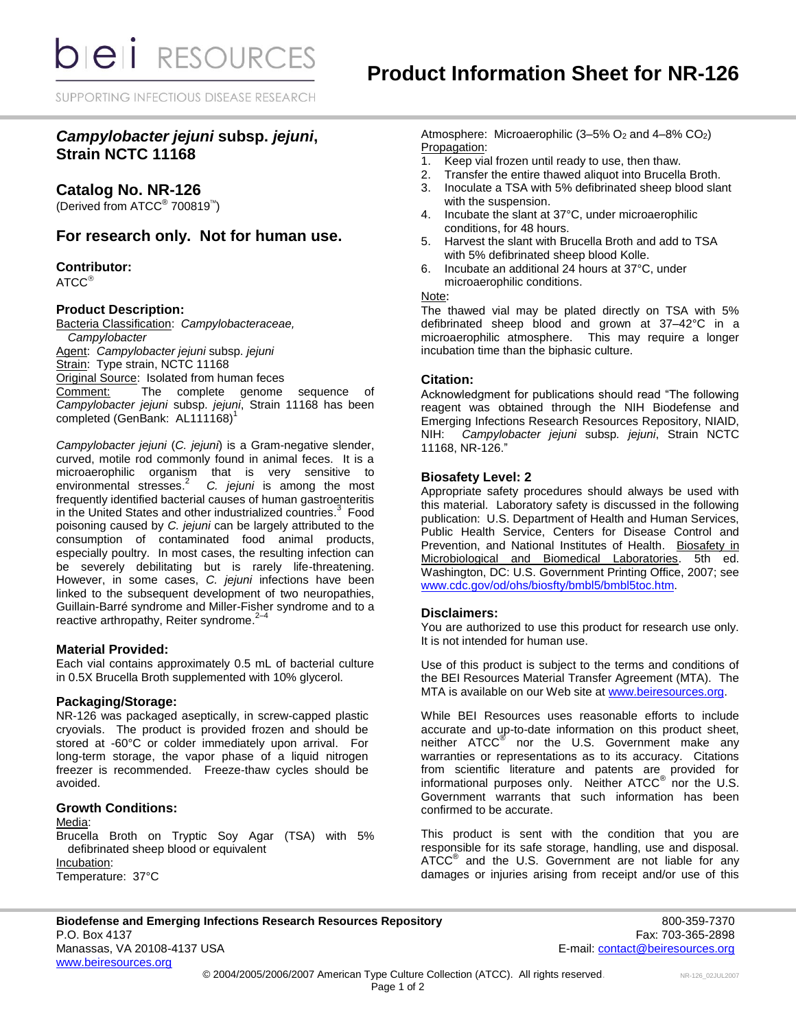SUPPORTING INFECTIOUS DISEASE RESEARCH

# *Campylobacter jejuni* **subsp.** *jejuni***, Strain NCTC 11168**

**Catalog No. NR-126**

(Derived from ATCC<sup>®</sup> 700819<sup>™</sup>)

# **For research only. Not for human use.**

# **Contributor:**

ATCC<sup>®</sup>

## **Product Description:**

Bacteria Classification: *Campylobacteraceae, Campylobacter* Agent: *Campylobacter jejuni* subsp. *jejuni* Strain: Type strain, NCTC 11168 Original Source: Isolated from human feces Comment: The complete genome sequence of *Campylobacter jejuni* subsp. *jejuni*, Strain 11168 has been completed (GenBank: AL111168)<sup>1</sup>

*Campylobacter jejuni* (*C. jejuni*) is a Gram-negative slender, curved, motile rod commonly found in animal feces. It is a microaerophilic organism that is very sensitive to environmental stresses. 2 *C. jejuni* is among the most frequently identified bacterial causes of human gastroenteritis in the United States and other industrialized countries. 3 Food poisoning caused by *C. jejuni* can be largely attributed to the consumption of contaminated food animal products, especially poultry. In most cases, the resulting infection can be severely debilitating but is rarely life-threatening. However, in some cases, *C. jejuni* infections have been linked to the subsequent development of two neuropathies, Guillain-Barré syndrome and Miller-Fisher syndrome and to a reactive arthropathy, Reiter syndrome.<sup>2-4</sup>

#### **Material Provided:**

Each vial contains approximately 0.5 mL of bacterial culture in 0.5X Brucella Broth supplemented with 10% glycerol.

# **Packaging/Storage:**

NR-126 was packaged aseptically, in screw-capped plastic cryovials. The product is provided frozen and should be stored at -60°C or colder immediately upon arrival. For long-term storage, the vapor phase of a liquid nitrogen freezer is recommended. Freeze-thaw cycles should be avoided.

# **Growth Conditions:**

#### Media:

Brucella Broth on Tryptic Soy Agar (TSA) with 5% defibrinated sheep blood or equivalent Incubation: Temperature: 37°C

Atmosphere: Microaerophilic  $(3-5\% \text{ O}_2 \text{ and } 4-8\% \text{ CO}_2)$ Propagation:

- 1. Keep vial frozen until ready to use, then thaw.
- 2. Transfer the entire thawed aliquot into Brucella Broth.
- 3. Inoculate a TSA with 5% defibrinated sheep blood slant with the suspension.
- 4. Incubate the slant at 37°C, under microaerophilic conditions, for 48 hours.
- 5. Harvest the slant with Brucella Broth and add to TSA with 5% defibrinated sheep blood Kolle.
- 6. Incubate an additional 24 hours at 37°C, under microaerophilic conditions.

#### Note:

The thawed vial may be plated directly on TSA with 5% defibrinated sheep blood and grown at 37–42°C in a microaerophilic atmosphere. This may require a longer incubation time than the biphasic culture.

## **Citation:**

Acknowledgment for publications should read "The following reagent was obtained through the NIH Biodefense and Emerging Infections Research Resources Repository, NIAID, NIH: *Campylobacter jejuni* subsp*. jejuni*, Strain NCTC 11168, NR-126."

## **Biosafety Level: 2**

Appropriate safety procedures should always be used with this material. Laboratory safety is discussed in the following publication: U.S. Department of Health and Human Services, Public Health Service, Centers for Disease Control and Prevention, and National Institutes of Health. Biosafety in Microbiological and Biomedical Laboratories. 5th ed. Washington, DC: U.S. Government Printing Office, 2007; see [www.cdc.gov/od/ohs/biosfty/bmbl5/bmbl5toc.htm.](http://www.cdc.gov/od/ohs/biosfty/bmbl5/bmbl5toc.htm)

#### **Disclaimers:**

You are authorized to use this product for research use only. It is not intended for human use.

Use of this product is subject to the terms and conditions of the BEI Resources Material Transfer Agreement (MTA). The MTA is available on our Web site at [www.beiresources.org.](http://www.beiresources.org/)

While BEI Resources uses reasonable efforts to include accurate and up-to-date information on this product sheet, neither ATCC<sup>®</sup> nor the U.S. Government make any warranties or representations as to its accuracy. Citations from scientific literature and patents are provided for informational purposes only. Neither  $\tt{ATCC}^{\circledR}$  nor the U.S. Government warrants that such information has been confirmed to be accurate.

This product is sent with the condition that you are responsible for its safe storage, handling, use and disposal. ATCC<sup>®</sup> and the U.S. Government are not liable for any damages or injuries arising from receipt and/or use of this